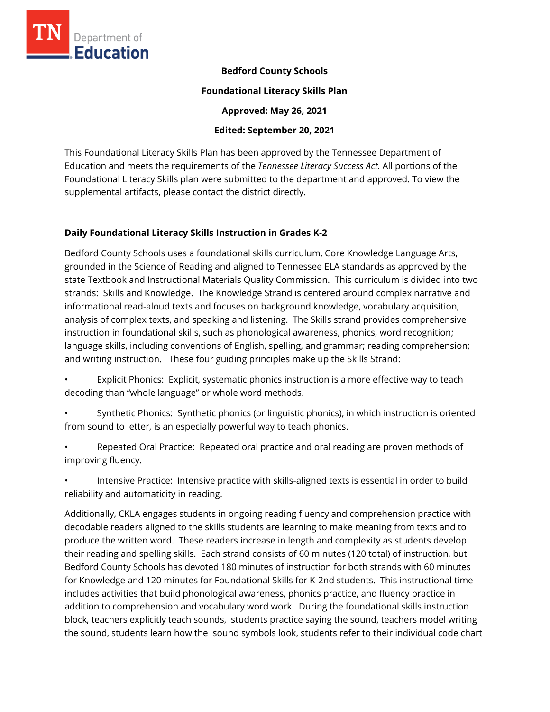

### **Bedford County Schools**

#### **Foundational Literacy Skills Plan**

**Approved: May 26, 2021** 

### **Edited: September 20, 2021**

This Foundational Literacy Skills Plan has been approved by the Tennessee Department of Education and meets the requirements of the *Tennessee Literacy Success Act.* All portions of the Foundational Literacy Skills plan were submitted to the department and approved. To view the supplemental artifacts, please contact the district directly.

### **Daily Foundational Literacy Skills Instruction in Grades K-2**

Bedford County Schools uses a foundational skills curriculum, Core Knowledge Language Arts, grounded in the Science of Reading and aligned to Tennessee ELA standards as approved by the state Textbook and Instructional Materials Quality Commission. This curriculum is divided into two strands: Skills and Knowledge. The Knowledge Strand is centered around complex narrative and informational read-aloud texts and focuses on background knowledge, vocabulary acquisition, analysis of complex texts, and speaking and listening. The Skills strand provides comprehensive instruction in foundational skills, such as phonological awareness, phonics, word recognition; language skills, including conventions of English, spelling, and grammar; reading comprehension; and writing instruction. These four guiding principles make up the Skills Strand:

- Explicit Phonics: Explicit, systematic phonics instruction is a more effective way to teach decoding than "whole language" or whole word methods.
- Synthetic Phonics: Synthetic phonics (or linguistic phonics), in which instruction is oriented from sound to letter, is an especially powerful way to teach phonics.
- Repeated Oral Practice: Repeated oral practice and oral reading are proven methods of improving fluency.
- Intensive Practice: Intensive practice with skills-aligned texts is essential in order to build reliability and automaticity in reading.

Additionally, CKLA engages students in ongoing reading fluency and comprehension practice with decodable readers aligned to the skills students are learning to make meaning from texts and to produce the written word. These readers increase in length and complexity as students develop their reading and spelling skills. Each strand consists of 60 minutes (120 total) of instruction, but Bedford County Schools has devoted 180 minutes of instruction for both strands with 60 minutes for Knowledge and 120 minutes for Foundational Skills for K-2nd students. This instructional time includes activities that build phonological awareness, phonics practice, and fluency practice in addition to comprehension and vocabulary word work. During the foundational skills instruction block, teachers explicitly teach sounds, students practice saying the sound, teachers model writing the sound, students learn how the sound symbols look, students refer to their individual code chart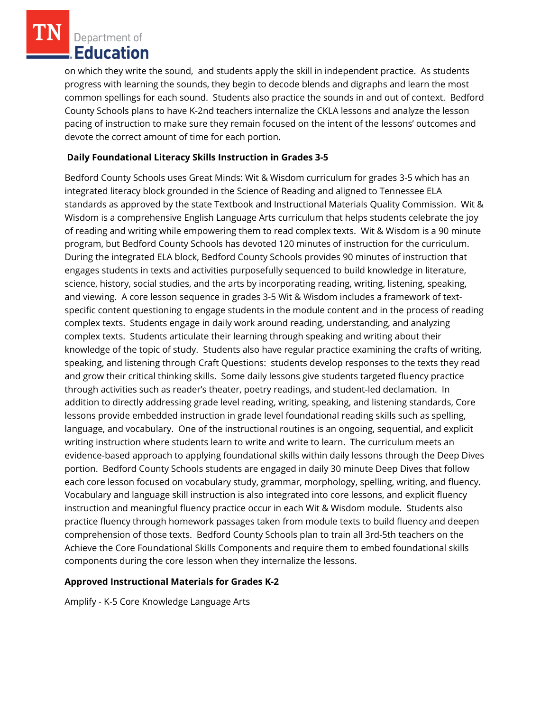on which they write the sound, and students apply the skill in independent practice. As students progress with learning the sounds, they begin to decode blends and digraphs and learn the most common spellings for each sound. Students also practice the sounds in and out of context. Bedford County Schools plans to have K-2nd teachers internalize the CKLA lessons and analyze the lesson pacing of instruction to make sure they remain focused on the intent of the lessons' outcomes and devote the correct amount of time for each portion.

## **Daily Foundational Literacy Skills Instruction in Grades 3-5**

Bedford County Schools uses Great Minds: Wit & Wisdom curriculum for grades 3-5 which has an integrated literacy block grounded in the Science of Reading and aligned to Tennessee ELA standards as approved by the state Textbook and Instructional Materials Quality Commission. Wit & Wisdom is a comprehensive English Language Arts curriculum that helps students celebrate the joy of reading and writing while empowering them to read complex texts. Wit & Wisdom is a 90 minute program, but Bedford County Schools has devoted 120 minutes of instruction for the curriculum. During the integrated ELA block, Bedford County Schools provides 90 minutes of instruction that engages students in texts and activities purposefully sequenced to build knowledge in literature, science, history, social studies, and the arts by incorporating reading, writing, listening, speaking, and viewing. A core lesson sequence in grades 3-5 Wit & Wisdom includes a framework of textspecific content questioning to engage students in the module content and in the process of reading complex texts. Students engage in daily work around reading, understanding, and analyzing complex texts. Students articulate their learning through speaking and writing about their knowledge of the topic of study. Students also have regular practice examining the crafts of writing, speaking, and listening through Craft Questions: students develop responses to the texts they read and grow their critical thinking skills. Some daily lessons give students targeted fluency practice through activities such as reader's theater, poetry readings, and student-led declamation. In addition to directly addressing grade level reading, writing, speaking, and listening standards, Core lessons provide embedded instruction in grade level foundational reading skills such as spelling, language, and vocabulary. One of the instructional routines is an ongoing, sequential, and explicit writing instruction where students learn to write and write to learn. The curriculum meets an evidence-based approach to applying foundational skills within daily lessons through the Deep Dives portion. Bedford County Schools students are engaged in daily 30 minute Deep Dives that follow each core lesson focused on vocabulary study, grammar, morphology, spelling, writing, and fluency. Vocabulary and language skill instruction is also integrated into core lessons, and explicit fluency instruction and meaningful fluency practice occur in each Wit & Wisdom module. Students also practice fluency through homework passages taken from module texts to build fluency and deepen comprehension of those texts. Bedford County Schools plan to train all 3rd-5th teachers on the Achieve the Core Foundational Skills Components and require them to embed foundational skills components during the core lesson when they internalize the lessons.

### **Approved Instructional Materials for Grades K-2**

Amplify - K-5 Core Knowledge Language Arts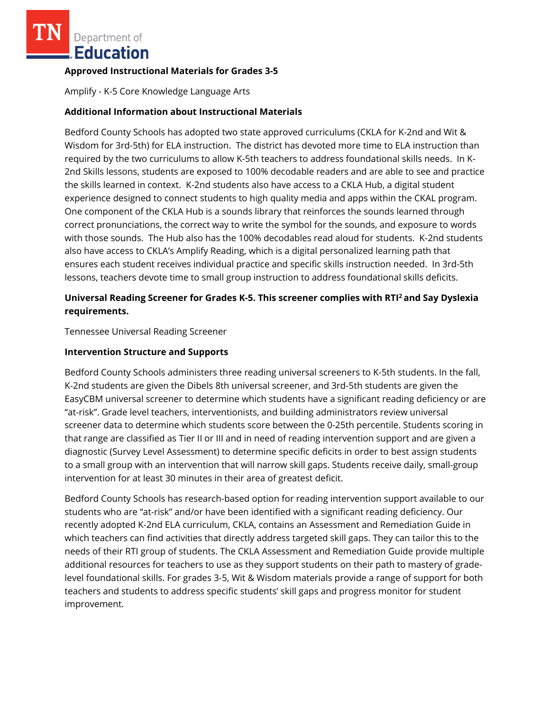### **Approved Instructional Materials for Grades 3-5**

Amplify - K-5 Core Knowledge Language Arts

### **Additional Information about Instructional Materials**

Bedford County Schools has adopted two state approved curriculums (CKLA for K-2nd and Wit & Wisdom for 3rd-5th) for ELA instruction. The district has devoted more time to ELA instruction than required by the two curriculums to allow K-5th teachers to address foundational skills needs. In K-2nd Skills lessons, students are exposed to 100% decodable readers and are able to see and practice the skills learned in context. K-2nd students also have access to a CKLA Hub, a digital student experience designed to connect students to high quality media and apps within the CKAL program. One component of the CKLA Hub is a sounds library that reinforces the sounds learned through correct pronunciations, the correct way to write the symbol for the sounds, and exposure to words with those sounds. The Hub also has the 100% decodables read aloud for students. K-2nd students also have access to CKLA's Amplify Reading, which is a digital personalized learning path that ensures each student receives individual practice and specific skills instruction needed. In 3rd-5th lessons, teachers devote time to small group instruction to address foundational skills deficits.

# **Universal Reading Screener for Grades K-5. This screener complies with RTI<sup>2</sup>and Say Dyslexia requirements.**

Tennessee Universal Reading Screener

### **Intervention Structure and Supports**

Bedford County Schools administers three reading universal screeners to K-5th students. In the fall, K-2nd students are given the Dibels 8th universal screener, and 3rd-5th students are given the EasyCBM universal screener to determine which students have a significant reading deficiency or are "at-risk". Grade level teachers, interventionists, and building administrators review universal screener data to determine which students score between the 0-25th percentile. Students scoring in that range are classified as Tier II or III and in need of reading intervention support and are given a diagnostic (Survey Level Assessment) to determine specific deficits in order to best assign students to a small group with an intervention that will narrow skill gaps. Students receive daily, small-group intervention for at least 30 minutes in their area of greatest deficit.

Bedford County Schools has research-based option for reading intervention support available to our students who are "at-risk" and/or have been identified with a significant reading deficiency. Our recently adopted K-2nd ELA curriculum, CKLA, contains an Assessment and Remediation Guide in which teachers can find activities that directly address targeted skill gaps. They can tailor this to the needs of their RTI group of students. The CKLA Assessment and Remediation Guide provide multiple additional resources for teachers to use as they support students on their path to mastery of gradelevel foundational skills. For grades 3-5, Wit & Wisdom materials provide a range of support for both teachers and students to address specific students' skill gaps and progress monitor for student improvement.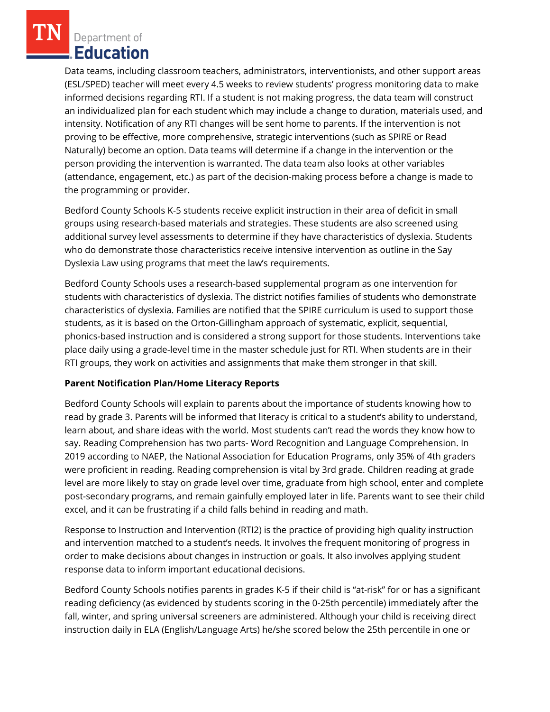Data teams, including classroom teachers, administrators, interventionists, and other support areas (ESL/SPED) teacher will meet every 4.5 weeks to review students' progress monitoring data to make informed decisions regarding RTI. If a student is not making progress, the data team will construct an individualized plan for each student which may include a change to duration, materials used, and intensity. Notification of any RTI changes will be sent home to parents. If the intervention is not proving to be effective, more comprehensive, strategic interventions (such as SPIRE or Read Naturally) become an option. Data teams will determine if a change in the intervention or the person providing the intervention is warranted. The data team also looks at other variables (attendance, engagement, etc.) as part of the decision-making process before a change is made to the programming or provider.

Bedford County Schools K-5 students receive explicit instruction in their area of deficit in small groups using research-based materials and strategies. These students are also screened using additional survey level assessments to determine if they have characteristics of dyslexia. Students who do demonstrate those characteristics receive intensive intervention as outline in the Say Dyslexia Law using programs that meet the law's requirements.

Bedford County Schools uses a research-based supplemental program as one intervention for students with characteristics of dyslexia. The district notifies families of students who demonstrate characteristics of dyslexia. Families are notified that the SPIRE curriculum is used to support those students, as it is based on the Orton-Gillingham approach of systematic, explicit, sequential, phonics-based instruction and is considered a strong support for those students. Interventions take place daily using a grade-level time in the master schedule just for RTI. When students are in their RTI groups, they work on activities and assignments that make them stronger in that skill.

# **Parent Notification Plan/Home Literacy Reports**

Bedford County Schools will explain to parents about the importance of students knowing how to read by grade 3. Parents will be informed that literacy is critical to a student's ability to understand, learn about, and share ideas with the world. Most students can't read the words they know how to say. Reading Comprehension has two parts- Word Recognition and Language Comprehension. In 2019 according to NAEP, the National Association for Education Programs, only 35% of 4th graders were proficient in reading. Reading comprehension is vital by 3rd grade. Children reading at grade level are more likely to stay on grade level over time, graduate from high school, enter and complete post-secondary programs, and remain gainfully employed later in life. Parents want to see their child excel, and it can be frustrating if a child falls behind in reading and math.

Response to Instruction and Intervention (RTI2) is the practice of providing high quality instruction and intervention matched to a student's needs. It involves the frequent monitoring of progress in order to make decisions about changes in instruction or goals. It also involves applying student response data to inform important educational decisions.

Bedford County Schools notifies parents in grades K-5 if their child is "at-risk" for or has a significant reading deficiency (as evidenced by students scoring in the 0-25th percentile) immediately after the fall, winter, and spring universal screeners are administered. Although your child is receiving direct instruction daily in ELA (English/Language Arts) he/she scored below the 25th percentile in one or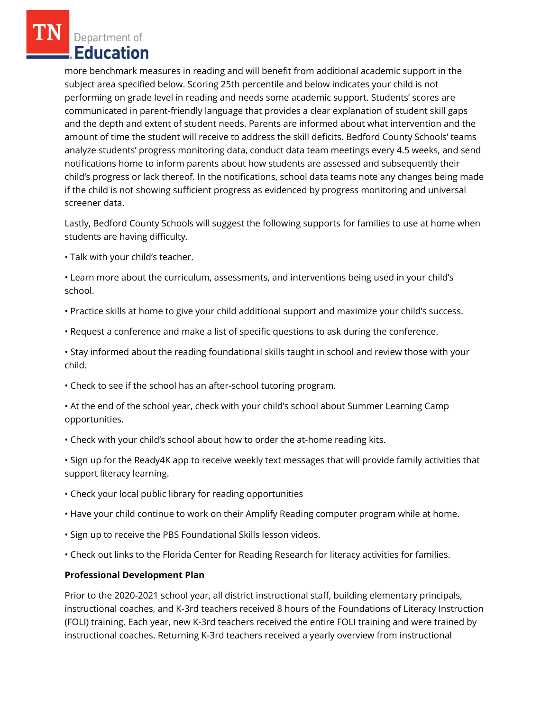more benchmark measures in reading and will benefit from additional academic support in the subject area specified below. Scoring 25th percentile and below indicates your child is not performing on grade level in reading and needs some academic support. Students' scores are communicated in parent-friendly language that provides a clear explanation of student skill gaps and the depth and extent of student needs. Parents are informed about what intervention and the amount of time the student will receive to address the skill deficits. Bedford County Schools' teams analyze students' progress monitoring data, conduct data team meetings every 4.5 weeks, and send notifications home to inform parents about how students are assessed and subsequently their child's progress or lack thereof. In the notifications, school data teams note any changes being made if the child is not showing sufficient progress as evidenced by progress monitoring and universal screener data.

Lastly, Bedford County Schools will suggest the following supports for families to use at home when students are having difficulty.

• Talk with your child's teacher.

• Learn more about the curriculum, assessments, and interventions being used in your child's school.

- Practice skills at home to give your child additional support and maximize your child's success.
- Request a conference and make a list of specific questions to ask during the conference.
- Stay informed about the reading foundational skills taught in school and review those with your child.
- Check to see if the school has an after-school tutoring program.
- At the end of the school year, check with your child's school about Summer Learning Camp opportunities.
- Check with your child's school about how to order the at-home reading kits.
- Sign up for the Ready4K app to receive weekly text messages that will provide family activities that support literacy learning.
- Check your local public library for reading opportunities
- Have your child continue to work on their Amplify Reading computer program while at home.
- Sign up to receive the PBS Foundational Skills lesson videos.
- Check out links to the Florida Center for Reading Research for literacy activities for families.

### **Professional Development Plan**

Prior to the 2020-2021 school year, all district instructional staff, building elementary principals, instructional coaches, and K-3rd teachers received 8 hours of the Foundations of Literacy Instruction (FOLI) training. Each year, new K-3rd teachers received the entire FOLI training and were trained by instructional coaches. Returning K-3rd teachers received a yearly overview from instructional